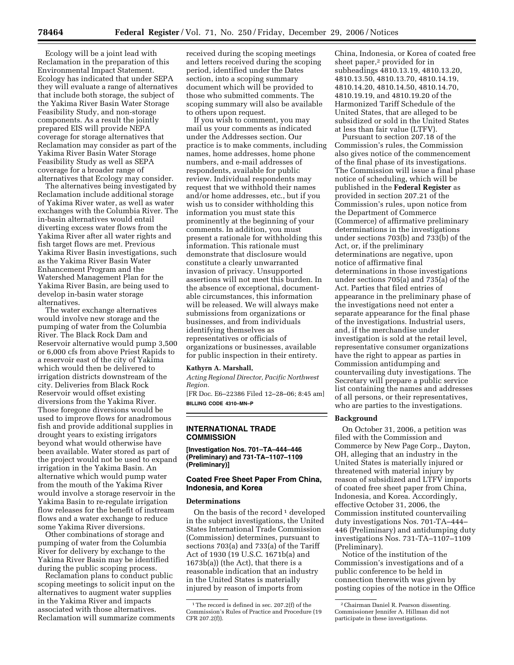Ecology will be a joint lead with Reclamation in the preparation of this Environmental Impact Statement. Ecology has indicated that under SEPA they will evaluate a range of alternatives that include both storage, the subject of the Yakima River Basin Water Storage Feasibility Study, and non-storage components. As a result the jointly prepared EIS will provide NEPA coverage for storage alternatives that Reclamation may consider as part of the Yakima River Basin Water Storage Feasibility Study as well as SEPA coverage for a broader range of alternatives that Ecology may consider.

The alternatives being investigated by Reclamation include additional storage of Yakima River water, as well as water exchanges with the Columbia River. The in-basin alternatives would entail diverting excess water flows from the Yakima River after all water rights and fish target flows are met. Previous Yakima River Basin investigations, such as the Yakima River Basin Water Enhancement Program and the Watershed Management Plan for the Yakima River Basin, are being used to develop in-basin water storage alternatives.

The water exchange alternatives would involve new storage and the pumping of water from the Columbia River. The Black Rock Dam and Reservoir alternative would pump 3,500 or 6,000 cfs from above Priest Rapids to a reservoir east of the city of Yakima which would then be delivered to irrigation districts downstream of the city. Deliveries from Black Rock Reservoir would offset existing diversions from the Yakima River. Those foregone diversions would be used to improve flows for anadromous fish and provide additional supplies in drought years to existing irrigators beyond what would otherwise have been available. Water stored as part of the project would not be used to expand irrigation in the Yakima Basin. An alternative which would pump water from the mouth of the Yakima River would involve a storage reservoir in the Yakima Basin to re-regulate irrigation flow releases for the benefit of instream flows and a water exchange to reduce some Yakima River diversions.

Other combinations of storage and pumping of water from the Columbia River for delivery by exchange to the Yakima River Basin may be identified during the public scoping process.

Reclamation plans to conduct public scoping meetings to solicit input on the alternatives to augment water supplies in the Yakima River and impacts associated with those alternatives. Reclamation will summarize comments received during the scoping meetings and letters received during the scoping period, identified under the Dates section, into a scoping summary document which will be provided to those who submitted comments. The scoping summary will also be available to others upon request.

If you wish to comment, you may mail us your comments as indicated under the Addresses section. Our practice is to make comments, including names, home addresses, home phone numbers, and e-mail addresses of respondents, available for public review. Individual respondents may request that we withhold their names and/or home addresses, etc., but if you wish us to consider withholding this information you must state this prominently at the beginning of your comments. In addition, you must present a rationale for withholding this information. This rationale must demonstrate that disclosure would constitute a clearly unwarranted invasion of privacy. Unsupported assertions will not meet this burden. In the absence of exceptional, documentable circumstances, this information will be released. We will always make submissions from organizations or businesses, and from individuals identifying themselves as representatives or officials of organizations or businesses, available for public inspection in their entirety.

### **Kathyrn A. Marshall,**

*Acting Regional Director, Pacific Northwest Region.* 

[FR Doc. E6–22386 Filed 12–28–06; 8:45 am] **BILLING CODE 4310–MN–P** 

**INTERNATIONAL TRADE COMMISSION** 

**[Investigation Nos. 701–TA–444–446 (Preliminary) and 731-TA–1107–1109 (Preliminary)]** 

## **Coated Free Sheet Paper From China, Indonesia, and Korea**

## **Determinations**

On the basis of the record  $1$  developed in the subject investigations, the United States International Trade Commission (Commission) determines, pursuant to sections 703(a) and 733(a) of the Tariff Act of 1930 (19 U.S.C. 1671b(a) and 1673b(a)) (the Act), that there is a reasonable indication that an industry in the United States is materially injured by reason of imports from

China, Indonesia, or Korea of coated free sheet paper,<sup>2</sup> provided for in subheadings 4810.13.19, 4810.13.20, 4810.13.50, 4810.13.70, 4810.14.19, 4810.14.20, 4810.14.50, 4810.14.70, 4810.19.19, and 4810.19.20 of the Harmonized Tariff Schedule of the United States, that are alleged to be subsidized or sold in the United States at less than fair value (LTFV).

Pursuant to section 207.18 of the Commission's rules, the Commission also gives notice of the commencement of the final phase of its investigations. The Commission will issue a final phase notice of scheduling, which will be published in the **Federal Register** as provided in section 207.21 of the Commission's rules, upon notice from the Department of Commerce (Commerce) of affirmative preliminary determinations in the investigations under sections 703(b) and 733(b) of the Act, or, if the preliminary determinations are negative, upon notice of affirmative final determinations in those investigations under sections 705(a) and 735(a) of the Act. Parties that filed entries of appearance in the preliminary phase of the investigations need not enter a separate appearance for the final phase of the investigations. Industrial users, and, if the merchandise under investigation is sold at the retail level, representative consumer organizations have the right to appear as parties in Commission antidumping and countervailing duty investigations. The Secretary will prepare a public service list containing the names and addresses of all persons, or their representatives, who are parties to the investigations.

#### **Background**

On October 31, 2006, a petition was filed with the Commission and Commerce by New Page Corp., Dayton, OH, alleging that an industry in the United States is materially injured or threatened with material injury by reason of subsidized and LTFV imports of coated free sheet paper from China, Indonesia, and Korea. Accordingly, effective October 31, 2006, the Commission instituted countervailing duty investigations Nos. 701-TA–444– 446 (Preliminary) and antidumping duty investigations Nos. 731-TA–1107–1109 (Preliminary).

Notice of the institution of the Commission's investigations and of a public conference to be held in connection therewith was given by posting copies of the notice in the Office

<sup>&</sup>lt;sup>1</sup>The record is defined in sec. 207.2(f) of the Commission's Rules of Practice and Procedure (19 CFR 207.2(f)).

<sup>2</sup>Chairman Daniel R. Pearson dissenting. Commissioner Jennifer A. Hillman did not participate in these investigations.